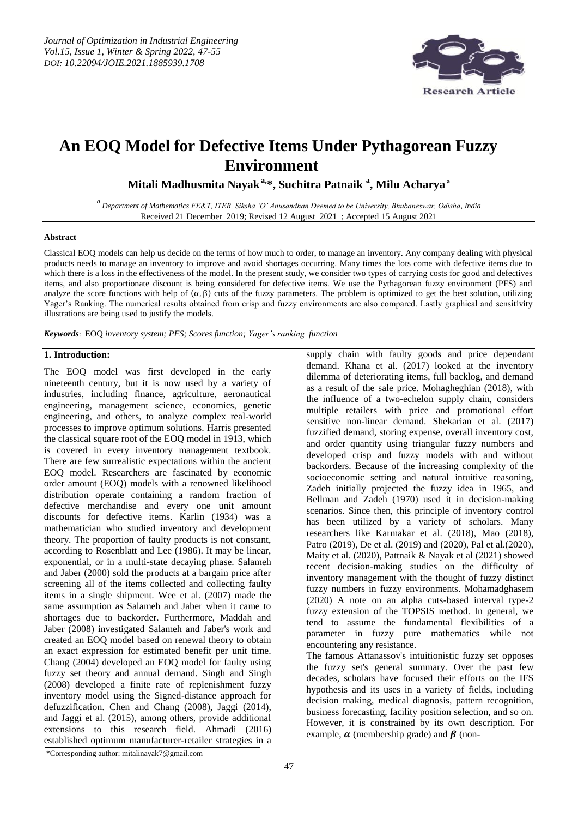

# **An EOQ Model for Defective Items U nder Pythagorean Fuzzy Environment**

**Mitali Madhusmita Nayaka,\*, Suchitra Patnaik <sup>a</sup> , Milu Acharya<sup>a</sup>**

*<sup>a</sup>Department of Mathematics FE&T, ITER, Siksha 'O' Anusandhan Deemed to be University, Bhubaneswar, Odisha, India* Received 21 December 2019; Revised 12 August 2021 ; Accepted 15 August 2021

## **Abstract**

Classical EOQ models can help us decide on the terms of how much to order, to manage an inventory. Any company dealing with physical products needs to manage an inventory to improve and avoid shortages occurring. Many times the lots come with defective items due to which there is a loss in the effectiveness of the model. In the present study, we consider two types of carrying costs for good and defectives items, and also proportionate discount is being considered for defective items. We use the Pythagorean fuzzy environment (PFS) and analyze the score functions with help of  $(\alpha, \beta)$  cuts of the fuzzy parameters. The problem is optimized to get the best solution, utilizing Yager"s Ranking. The numerical results obtained from crisp and fuzzy environments are also compared. Lastly graphical and sensitivity illustrations are being used to justify the models.

*Keywords*: EOQ *inventory system; PFS; Scores function; Yager's ranking function*

## **1. Introduction:**

The EOQ model was first developed in the early nineteenth century, but it is now used by a variety of industries, including finance, agriculture, aeronautical engineering, management science, economics, genetic engineering, and others, to analyze complex real-world processes to improve optimum solutions. Harris presented the classical square root of the EOQ model in 1913, which is covered in every inventory management textbook. There are few surrealistic expectations within the ancient EOQ model. Researchers are fascinated by economic order amount (EOQ) models with a renowned likelihood distribution operate containing a random fraction of defective merchandise and every one unit amount discounts for defective items. Karlin (1934) was a mathematician who studied inventory and development theory. The proportion of faulty products is not constant, according to Rosenblatt and Lee (1986). It may be linear, exponential, or in a multi-state decaying phase. Salameh and Jaber (2000) sold the products at a bargain price after screening all of the items collected and collecting faulty items in a single shipment. Wee et al. (2007) made the same assumption as Salameh and Jaber when it came to shortages due to backorder. Furthermore, Maddah and Jaber (2008) investigated Salameh and Jaber's work and created an EOQ model based on renewal theory to obtain an exact expression for estimated benefit per unit time. Chang (2004) developed an EOQ model for faulty using fuzzy set theory and annual demand. Singh and Singh (2008) developed a finite rate of replenishment fuzzy inventory model using the Signed-distance approach for defuzzification. Chen and Chang (2008), Jaggi (2014), and Jaggi et al. (2015), among others, provide additional extensions to this research field. Ahmadi (2016) established optimum manufacturer-retailer strategies in a

supply chain with faulty goods and price dependant demand. Khana et al. (2017) looked at the inventory dilemma of deteriorating items, full backlog, and demand as a result of the sale price. Mohagheghian (2018), with the influence of a two-echelon supply chain, considers multiple retailers with price and promotional effort sensitive non-linear demand. Shekarian et al. (2017) fuzzified demand, storing expense, overall inventory cost, and order quantity using triangular fuzzy numbers and developed crisp and fuzzy models with and without backorders. Because of the increasing complexity of the socioeconomic setting and natural intuitive reasoning, Zadeh initially projected the fuzzy idea in 1965, and Bellman and Zadeh (1970) used it in decision-making scenarios. Since then, this principle of inventory control has been utilized by a variety of scholars. Many researchers like Karmakar et al. (2018), Mao (2018), Patro (2019), De et al. (2019) and (2020), Pal et al.(2020), Maity et al. (2020), Pattnaik & Nayak et al (2021) showed recent decision-making studies on the difficulty of inventory management with the thought of fuzzy distinct fuzzy numbers in fuzzy environments. Mohamadghasem (2020) A note on an alpha cuts-based interval type-2 fuzzy extension of the TOPSIS method. In general, we tend to assume the fundamental flexibilities of a parameter in fuzzy pure mathematics while not encountering any resistance.

The famous Attanassov's intuitionistic fuzzy set opposes the fuzzy set's general summary. Over the past few decades, scholars have focused their efforts on the IFS hypothesis and its uses in a variety of fields, including decision making, medical diagnosis, pattern recognition, business forecasting, facility position selection, and so on. However, it is constrained by its own description. For example,  $\alpha$  (membership grade) and  $\beta$  (non-

\*Corresponding author: mitalinayak7@gmail.com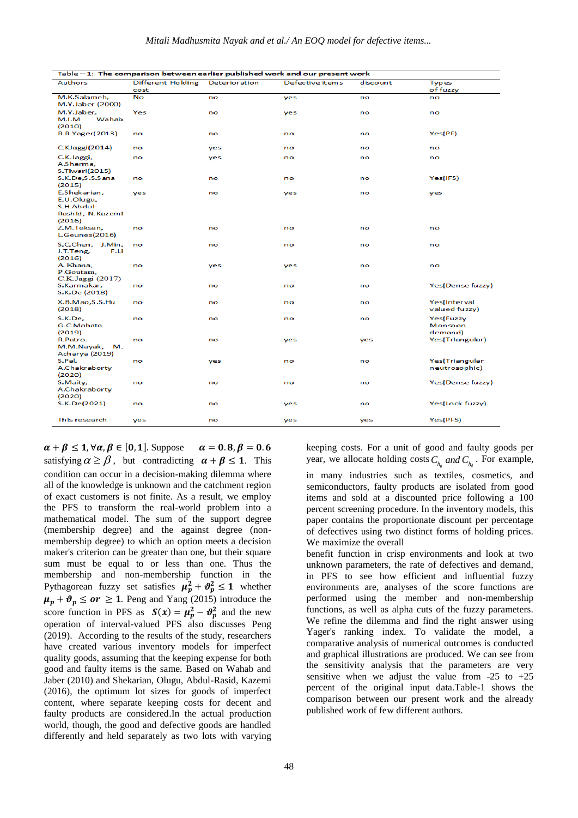| Table - 1: The comparison between earlier published work and our present work |                           |               |                 |          |                                 |  |  |  |
|-------------------------------------------------------------------------------|---------------------------|---------------|-----------------|----------|---------------------------------|--|--|--|
| <b>Authors</b>                                                                | Different Holding<br>cost | Deterioration | Defective items | discount | <b>Types</b><br>of fuzzy        |  |  |  |
| M.K.Salameh,<br>M.Y.Jaber (2000)                                              | No                        | no            | yes             | no       | no                              |  |  |  |
| M.Y.Jaber,<br>M.I.M<br>Wahab<br>(2010)                                        | Yes                       | no            | yes             | no       | no                              |  |  |  |
| R.R.Yager(2013)                                                               | no                        | no            | no              | no       | Yes(PF)                         |  |  |  |
| C.KJaggi(2014)                                                                | no                        | yes           | no              | no       | no                              |  |  |  |
| C.K.Jaggi,<br>A.Sharma,<br><b>S.Tiwari(2015)</b>                              | no                        | yes           | no              | no       | no                              |  |  |  |
| S.K.De,S.S.Sana<br>(2015)                                                     | no                        | no            | no              | no       | Yes(IFS)                        |  |  |  |
| E.Shekarian,<br>E.U.Olugu,<br>S.H.Abdul-<br>Rashid, N.Kazemi<br>(2016)        | yes                       | no            | yes             | no       | yes                             |  |  |  |
| Z.M.Teksan,<br>L.Geunes(2016)                                                 | no                        | no            | no              | no       | no                              |  |  |  |
| S,C,Chen, J.Min,<br>F.Li<br>J.T.Teng,<br>(2016)                               | no                        | no            | no              | no       | no                              |  |  |  |
| A Khana,<br>P.Goutam.<br>C.K.Jaggi (2017)                                     | no                        | yes           | yes             | no       | no                              |  |  |  |
| S.Karmakar,<br>S.K.De (2018)                                                  | no                        | no            | no              | no       | Yes(Dense fuzzy)                |  |  |  |
| X.B.Mao,S.S.Hu<br>(2018)                                                      | no                        | no            | no              | no       | Yes(Interval<br>valued fuzzy)   |  |  |  |
| S.K.De,<br>G.C.Mahato<br>(2019)                                               | no                        | no            | no              | no       | Yes(Fuzzy<br>Monsoon<br>demand) |  |  |  |
| R.Patro.<br>M.M.Nayak,<br>м.<br>Acharya (2019)                                | no                        | no            | yes             | yes      | Yes(Triangular)                 |  |  |  |
| S.Pal,<br>A.Chakraborty<br>(2020)                                             | no                        | <b>ves</b>    | no              | no       | Yes(Triangular<br>neutrosophic) |  |  |  |
| S.Maity,<br>A.Chakraborty<br>(2020)                                           | no                        | no            | no              | no       | Yes(Dense fuzzy)                |  |  |  |
| S.K.De(2021)                                                                  | no                        | no            | yes             | no       | Yes(Lock fuzzy)                 |  |  |  |
| This research                                                                 | yes                       | no            | yes             | yes      | Yes(PFS)                        |  |  |  |

 $\alpha = 0.8, \beta = 0.6$  $\alpha + \beta \leq 1, \forall \alpha, \beta \in [0, 1].$  Suppose satisfying  $\alpha \ge \beta$ , but contradicting  $\alpha + \beta \le 1$ . This condition can occur in a decision-making dilemma where all of the knowledge is unknown and the catchment region of exact customers is not finite. As a result, we employ the PFS to transform the real-world problem into a mathematical model. The sum of the support degree (membership degree) and the against degree (nonmembership degree) to which an option meets a decision maker's criterion can be greater than one, but their square sum must be equal to or less than one. Thus the membership and non-membership function in the Pythagorean fuzzy set satisfies  $\mu_p^2 + \vartheta_p^2 \leq 1$  whether  $\mu_p + \vartheta_p \leq or \geq 1$ . Peng and Yang (2015) introduce the score function in PFS as  $S(x) = \mu_p^2 - \vartheta_p^2$  and the new operation of interval-valued PFS also discusses Peng (2019). According to the results of the study, researchers have created various inventory models for imperfect quality goods, assuming that the keeping expense for both good and faulty items is the same. Based on Wahab and Jaber (2010) and Shekarian, Olugu, Abdul-Rasid, Kazemi (2016), the optimum lot sizes for goods of imperfect content, where separate keeping costs for decent and faulty products are considered.In the actual production world, though, the good and defective goods are handled differently and held separately as two lots with varying

keeping costs. For a unit of good and faulty goods per year, we allocate holding costs  $C_{h_g}$  and  $C_{h_d}$ . For example,

in many industries such as textiles, cosmetics, and semiconductors, faulty products are isolated from good items and sold at a discounted price following a 100 percent screening procedure. In the inventory models, this paper contains the proportionate discount per percentage of defectives using two distinct forms of holding prices. We maximize the overall

benefit function in crisp environments and look at two unknown parameters, the rate of defectives and demand, in PFS to see how efficient and influential fuzzy environments are, analyses of the score functions are performed using the member and non-membership functions, as well as alpha cuts of the fuzzy parameters. We refine the dilemma and find the right answer using Yager's ranking index. To validate the model, a comparative analysis of numerical outcomes is conducted and graphical illustrations are produced. We can see from the sensitivity analysis that the parameters are very sensitive when we adjust the value from  $-25$  to  $+25$ percent of the original input data.Table-1 shows the comparison between our present work and the already published work of few different authors.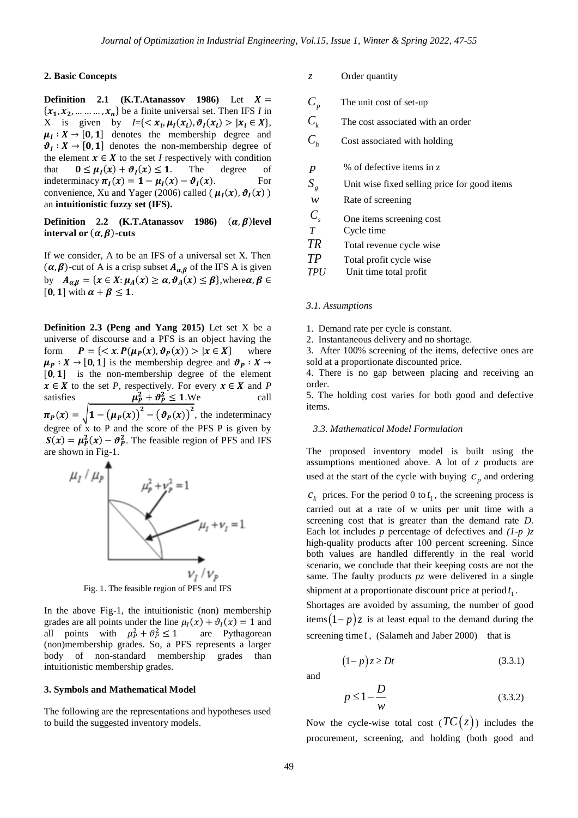### **2. Basic Concepts**

**Definition 2.1 (K.T.Atanassov 1986)** Let  $X =$  $\{x_1, x_2, \dots, x_n\}$  be a finite universal set. Then IFS *I* in X is given by  $I = \{ \langle x_i, \mu_I(x_i), \vartheta_I(x_i) \rangle | x_i \in X \},\$  $\mu_I : X \to [0, 1]$  denotes the membership degree and  $\mathcal{Y}_I : X \to [0, 1]$  denotes the non-membership degree of the element  $x \in X$  to the set *I* respectively with condition that  $(x) + \vartheta_I(x) \leq 1$ . The degree of indeterminacy  $\pi_I(x) = 1 - \mu_I(x) - \vartheta_I(x)$ . For convenience, Xu and Yager (2006) called  $(\mu_I(x), \vartheta_I(x))$ an **intuitionistic fuzzy set (IFS).**

**Definition 2.2 (K.T.Atanassov 1986)**  $(\alpha, \beta)$  level **interval** or  $(\alpha, \beta)$ -cuts

If we consider, A to be an IFS of a universal set X. Then  $(\alpha, \beta)$ -cut of A is a crisp subset  $A_{\alpha, \beta}$  of the IFS A is given by  $A_{\alpha,\beta} = \{x \in X : \mu_A(x) \ge \alpha, \vartheta_A(x) \le \beta\}$ , where  $\alpha$ [0, 1] with  $\alpha + \beta \leq 1$ .

**Definition 2.3 (Peng and Yang 2015)** Let set X be a universe of discourse and a PFS is an object having the form  $P = \{ \langle x. P(\mu_P(x), \vartheta_P(x)) \rangle | x \in X \}$  where  $\mu_P : X \to [0, 1]$  is the membership degree and  $\vartheta_P : X \to$  $[0, 1]$  is the non-membership degree of the element  $x \in X$  to the set *P*, respectively. For every  $x \in X$  and *P* satisfies  $P_P^2 + \vartheta_P^2 \le 1$ .We call  $\pi_P(x) = \sqrt{1 - (\mu_P(x))^2 - (\vartheta_P(x))^2}$ , the indeterminacy degree of  $\bar{x}$  to P and the score of the PFS P is given by  $S(x) = \mu_P^2(x) - \vartheta_P^2$ . The feasible region of PFS and IFS are shown in Fig-1.



Fig. 1. The feasible region of PFS and IFS

In the above Fig-1, the intuitionistic (non) membership grades are all points under the line  $\mu_I(x) + \vartheta_I(x) = 1$  and all points with  $\mu_P^2$  are Pythagorean (non)membership grades. So, a PFS represents a larger body of non-standard membership grades than intuitionistic membership grades.

#### **3. Symbols and Mathematical Model**

The following are the representations and hypotheses used to build the suggested inventory models.

*z* Order quantity

| $C_{_{p}}$       | The unit cost of set-up                      |
|------------------|----------------------------------------------|
| $C_{k}$          | The cost associated with an order            |
| $C_{h}$          | Cost associated with holding                 |
| $\boldsymbol{p}$ | % of defective items in z                    |
| $S_{g}$          | Unit wise fixed selling price for good items |
| $\mathcal W$     | Rate of screening                            |
| $C_{\rm s}$      | One items screening cost                     |
| T                | Cycle time                                   |
| TR               | Total revenue cycle wise                     |
| TP               | Total profit cycle wise                      |
| TPU              | Unit time total profit                       |

#### *3.1. Assumptions*

1. Demand rate per cycle is constant.

2. Instantaneous delivery and no shortage.

3. After 100% screening of the items, defective ones are sold at a proportionate discounted price.

4. There is no gap between placing and receiving an order.

5. The holding cost varies for both good and defective items.

#### *3.3. Mathematical Model Formulation*

The proposed inventory model is built using the assumptions mentioned above. A lot of *z* products are used at the start of the cycle with buying  $c_p$  and ordering

 $c_k$  prices. For the period 0 to  $t_1$ , the screening process is carried out at a rate of w units per unit time with a screening cost that is greater than the demand rate *D*. Each lot includes *p* percentage of defectives and *(1-p )z* high-quality products after 100 percent screening. Since both values are handled differently in the real world scenario, we conclude that their keeping costs are not the same. The faulty products *pz* were delivered in a single shipment at a proportionate discount price at period  $t_1$ .

Shortages are avoided by assuming, the number of good items $(1-p)z$  is at least equal to the demand during the screening time *t*, (Salameh and Jaber 2000) that is

$$
(1-p)z \ge Dt \tag{3.3.1}
$$

and

$$
p \le 1 - \frac{D}{w} \tag{3.3.2}
$$

Now the cycle-wise total cost  $(TC(z))$  includes the procurement, screening, and holding (both good and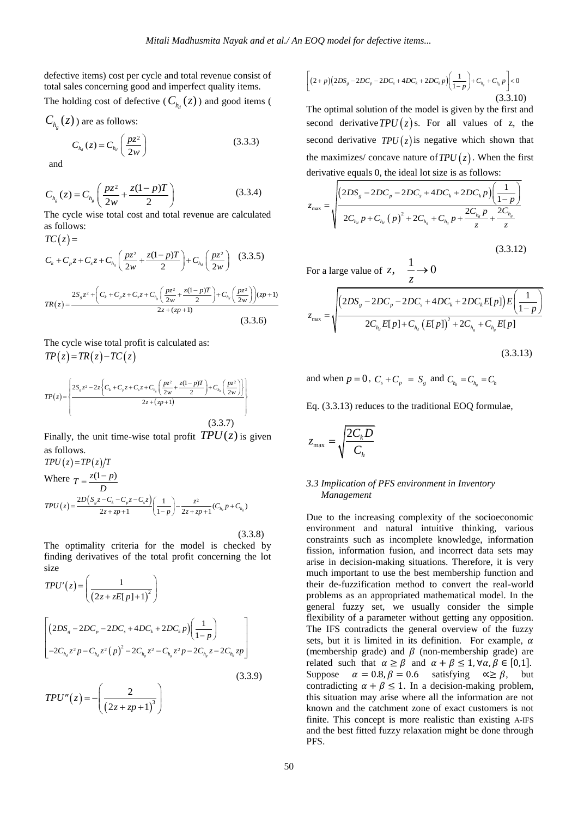defective items) cost per cycle and total revenue consist of total sales concerning good and imperfect quality items.

The holding cost of defective ( $C_{h_d}(z)$ ) and good items (

$$
C_{h_g}(z)
$$
 are as follows:

$$
C_{h_d}(z) = C_{h_d} \left(\frac{pz^2}{2w}\right)
$$
 (3.3.3)

and

$$
C_{h_g}(z) = C_{h_g}\left(\frac{pz^2}{2w} + \frac{z(1-p)T}{2}\right)
$$
 (3.3.4)

The cycle wise total cost and total revenue are calculated as follows:  $TC(z) =$ 

$$
C_{k} + C_{p}z + C_{s}z + C_{h_{g}}\left(\frac{pz^{2}}{2w} + \frac{z(1-p)T}{2}\right) + C_{h_{d}}\left(\frac{pz^{2}}{2w}\right) \quad (3.3.5)
$$

$$
TR(z) = \frac{2S_{g}z^{2} + \left(C_{k} + C_{p}z + C_{s}z + C_{h_{g}}\left(\frac{pz^{2}}{2w} + \frac{z(1-p)T}{2}\right) + C_{h_{d}}\left(\frac{pz^{2}}{2w}\right)\right)(zp+1)}{2z + (zp+1)}
$$
(3.3.6)

 $\overline{a}$ The cycle wise total profit is calculated as:  $TP(z) = TR(z) - TC(z)$ 

$$
TP(z) = \left\{ \frac{2S_z z^2 - 2z \left\{ C_k + C_p z + C_s z + C_{h_s} \left( \frac{pz^2}{2w} + \frac{z(1-p)T}{2} \right) + C_{h_s} \left( \frac{pz^2}{2w} \right) \right\}}{2z + (zp + 1)} \right\}
$$
(3.3.7)

Finally, the unit time-wise total profit  $TPU(z)$  is given as follows.

$$
TPU(z) = TP(z)/T
$$
  
Where  $T = \frac{z(1-p)}{D}$   

$$
TPU(z) = \frac{2D(S_z z - C_k - C_p z - C_z z)}{2z + zp + 1} \left(\frac{1}{1-p}\right) - \frac{z^2}{2z + zp + 1} (C_{h_d} p + C_{h_s})
$$

(3.3.8)

The optimality criteria for the model is checked by finding derivatives of the total profit concerning the lot size

$$
TPU'(z) = \left(\frac{1}{(2z + zE[p] + 1)^2}\right)
$$
  

$$
\left[\left(2DS_g - 2DC_p - 2DC_s + 4DC_k + 2DC_k p\right)\left(\frac{1}{1 - p}\right)\right]
$$
  

$$
-2C_{h_d}z^2p - C_{h_d}z^2(p)^2 - 2C_{h_s}z^2 - C_{h_s}z^2p - 2C_{h_s}z - 2C_{h_d}zp\right]
$$
  
(3.3.9)

$$
TPU''(z) = -\left(\frac{2}{\left(2z + zp + 1\right)^3}\right)
$$

$$
\left[ (2+p)(2DS_s - 2DC_r - 2DC_s + 4DC_k + 2DC_k p) \left( \frac{1}{1-p} \right) + C_{h_s} + C_{h_d} p \right] < 0
$$
\n(3.3.10)

The optimal solution of the model is given by the first and second derivative  $TPU(z)$  s. For all values of z, the second derivative  $TPU(z)$  is negative which shown that the maximizes/ concave nature of  $TPU(z)$ . When the first derivative equals 0, the ideal lot size is as follows:

$$
z_{\max} = \sqrt{\frac{\left(2DS_s - 2DC_p - 2DC_s + 4DC_k + 2DC_k p\right)\left(\frac{1}{1-p}\right)}{2C_{h_d}p + C_{h_d}(p)^2 + 2C_{h_s} + C_{h_s}p + \frac{2C_{h_d}p}{z} + \frac{2C_{h_s}}{z}}}
$$
\n(3.3.12)

For a large value of  $z$ ,  $\frac{1}{z}$ *z*  $\rightarrow 0$ 

$$
z_{\max} = \sqrt{\frac{(2DS_{g} - 2DC_{p} - 2DC_{s} + 4DC_{k} + 2DC_{k}E[p])E\left(\frac{1}{1-p}\right)}{2C_{h_{d}}E[p] + C_{h_{d}}\left(E[p]\right)^{2} + 2C_{h_{g}} + C_{h_{g}}E[p]}}
$$
\n(3.3.13)

and when 
$$
p = 0
$$
,  $C_s + C_p = S_g$  and  $C_{h_d} = C_{h_g} = C_h$ 

Eq. (3.3.13) reduces to the traditional EOQ formulae,

$$
z_{\max} = \sqrt{\frac{2C_k D}{C_h}}
$$

# *3.3 Implication of PFS environment in Inventory Management*

Due to the increasing complexity of the socioeconomic environment and natural intuitive thinking, various constraints such as incomplete knowledge, information fission, information fusion, and incorrect data sets may arise in decision-making situations. Therefore, it is very much important to use the best membership function and their de-fuzzification method to convert the real-world problems as an appropriated mathematical model. In the general fuzzy set, we usually consider the simple flexibility of a parameter without getting any opposition. The IFS contradicts the general overview of the fuzzy sets, but it is limited in its definition. For example,  $\alpha$ (membership grade) and  $\beta$  (non-membership grade) are related such that  $\alpha \ge \beta$  and  $\alpha + \beta \le 1$ ,  $\forall \alpha, \beta \in [0,1]$ . Suppose  $\alpha = 0.8$ ,  $\beta = 0.6$  satisfying  $\alpha \ge \beta$ , but contradicting  $\alpha + \beta \leq 1$ . In a decision-making problem, this situation may arise where all the information are not known and the catchment zone of exact customers is not finite. This concept is more realistic than existing A-IFS and the best fitted fuzzy relaxation might be done through PFS.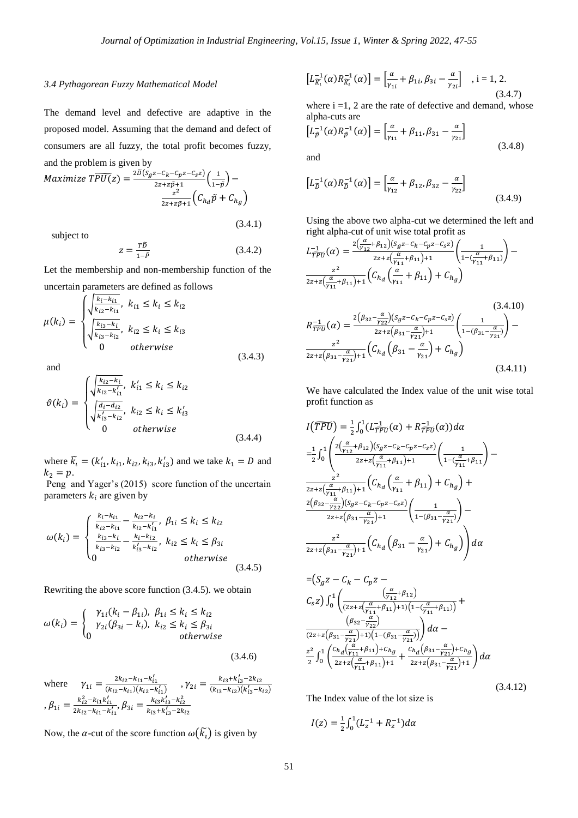#### *3.4 Pythagorean Fuzzy Mathematical Model*

The demand level and defective are adaptive in the proposed model. Assuming that the demand and defect of consumers are all fuzzy, the total profit becomes fuzzy, and the problem is given by

$$
Maximize TPU(z) = \frac{2D(S_g z - C_h - C_p z - C_s z)}{2z + z\tilde{p} + 1} \left(\frac{1}{1 - \tilde{p}}\right) - \frac{z^2}{2z + z\tilde{p} + 1} \left(C_{h_d}\tilde{p} + C_{h_g}\right)
$$

subject to

 $z=\frac{T\widetilde{D}}{1}$  $1-\tilde{P}$ (3.4.2)

(3.4.1)

Let the membership and non-membership function of the uncertain parameters are defined as follows

$$
\mu(k_i) = \begin{cases}\n\sqrt{\frac{k_{i2} - k_{i1}}{k_{i2} - k_{i1}}}, & k_{i1} \le k_i \le k_{i2} \\
\sqrt{\frac{k_{i3} - k_i}{k_{i3} - k_{i2}}}, & k_{i2} \le k_i \le k_{i3} \\
0 & otherwise\n\end{cases}
$$
\n(3.4.3)

and

$$
\vartheta(k_i) = \begin{cases}\n\sqrt{\frac{k_{i2} - k_i}{k_{i2} - k'_{i1}}}, & k'_{i1} \le k_i \le k_{i2} \\
\sqrt{\frac{d_i - d_{i2}}{k'_{i3} - k_{i2}}}, & k_{i2} \le k_i \le k'_{i3} \\
0 & \text{otherwise}\n\end{cases} \tag{3.4.4}
$$

where  $\tilde{k}_1 = (k'_{i1}, k_{i1}, k_{i2}, k'_{i3}, k'_{i3})$  and we take  $k_1 = D$  and  $k_2 = p$ .

Peng and Yager's (2015) score function of the uncertain parameters  $k_i$  are given by

$$
\omega(k_i) = \begin{cases} \frac{k_i - k_{i1}}{k_{i2} - k_{i1}} - \frac{k_{i2} - k_i}{k_{i2} - k'_{i1}}, \ \beta_{1i} \le k_i \le k_{i2} \\ \frac{k_{i3} - k_i}{k_{i3} - k_{i2}} - \frac{k_i - k_{i2}}{k'_{i3} - k_{i2}}, \ k_{i2} \le k_i \le \beta_{3i} \\ 0 & otherwise \end{cases} (3.4.5)
$$

Rewriting the above score function (3.4.5). we obtain

$$
\omega(k_i) = \begin{cases} \gamma_{1i}(k_i - \beta_{1i}), & \beta_{1i} \le k_i \le k_{i2} \\ \gamma_{2i}(\beta_{3i} - k_i), & k_{i2} \le k_i \le \beta_{3i} \\ 0 & \text{otherwise} \end{cases} \tag{3.4.6}
$$

where  $\gamma_{1i} = \frac{2k_{i2} - k_{i1} - k'_{i}}{(k_{i1} - k_{i1})(k_{i2})}$  $\frac{2k_{i2}-k_{i1}-k'_{i1}}{(k_{i2}-k'_{i1})(k_{i2}-k'_{i1})}$ ,  $\gamma_{2i} = \frac{k_{i3}+k'_{i1}}{(k_{i3}-k_{i2})}$  $(k_{i3} - k_{i2})(k'_{i3} - k_{i2})$  $\beta_{1i} = \frac{k_{i2}^2 - k_{i1}k_i'}{2}$  $\frac{k_{i2}^2 - k_{i1}k_{i1}'}{2k_{i2} - k_{i1} - k_{i1}'}$ ,  $\beta_{3i} = \frac{k_{i3}k_{i3}' - k_{i2}^2}{k_{i3} + k_{i3}' - 2k_{i2}'}$  $\overline{k_{i3}+k'_{i}}$ 

Now, the  $\alpha$ -cut of the score function  $\omega(\widetilde{k}_t)$  is given by

$$
\left[L_{\widetilde{K}_{l}}^{-1}(\alpha)R_{\widetilde{K}_{l}}^{-1}(\alpha)\right] = \left[\frac{\alpha}{\gamma_{1i}} + \beta_{1i}, \beta_{3i} - \frac{\alpha}{\gamma_{2i}}\right] , i = 1, 2.
$$
\n(3.4.7)

where  $i = 1, 2$  are the rate of defective and demand, whose alpha-cuts are

$$
\left[L_{\vec{p}}^{-1}(\alpha)R_{\vec{p}}^{-1}(\alpha)\right] = \left[\frac{\alpha}{\gamma_{11}} + \beta_{11}, \beta_{31} - \frac{\alpha}{\gamma_{21}}\right]
$$
\n(3.4.8)

and

$$
\left[L_{\tilde{D}}^{-1}(\alpha)R_{\tilde{D}}^{-1}(\alpha)\right] = \left[\frac{\alpha}{\gamma_{12}} + \beta_{12}, \beta_{32} - \frac{\alpha}{\gamma_{22}}\right]
$$
\n(3.4.9)

Using the above two alpha-cut we determined the left and right alpha-cut of unit wise total profit as

$$
L_{\overline{TPU}}^{-1}(\alpha) = \frac{2(\frac{\alpha}{\gamma_{12}} + \beta_{12})(S_g z - C_k - C_p z - C_s z)}{2z + z(\frac{\alpha}{\gamma_{11}} + \beta_{11}) + 1} \left(\frac{1}{1 - (\frac{\alpha}{\gamma_{11}} + \beta_{11})}\right) - \frac{z^2}{2z + z(\frac{\alpha}{\gamma_{11}} + \beta_{11}) + 1} \left(C_{h_d}(\frac{\alpha}{\gamma_{11}} + \beta_{11}) + C_{h_g}\right)
$$
\n(3.4.10)

$$
R_{TPU}^{-1}(\alpha) = \frac{2(\beta_{32} - \frac{\alpha}{\gamma_{22}})(s_g z - c_k - c_p z - c_s z)}{2z + z(\beta_{31} - \frac{\alpha}{\gamma_{21}}) + 1} \left(\frac{1}{1 - (\beta_{31} - \frac{\alpha}{\gamma_{21}})}\right) - \frac{z^2}{2z + z(\beta_{31} - \frac{\alpha}{\gamma_{21}}) + 1} \left(C_{h_d}(\beta_{31} - \frac{\alpha}{\gamma_{21}}) + C_{h_g}\right)
$$
\n(3.4.11)

We have calculated the Index value of the unit wise total profit function as

$$
I(\overline{PPU}) = \frac{1}{2} \int_0^1 (L_{TPU}^{-1}(\alpha) + R_{TPU}^{-1}(\alpha)) d\alpha
$$
  
\n
$$
= \frac{1}{2} \int_0^1 \left( \frac{2(\frac{\alpha}{\gamma_{12}} + \beta_{12})(S_g z - C_k - C_p z - C_s z)}{2z + z(\frac{\alpha}{\gamma_{11}} + \beta_{11}) + 1} \left( \frac{1}{1 - (\frac{\alpha}{\gamma_{11}} + \beta_{11}} \right) \right)
$$
  
\n
$$
\frac{z^2}{2z + z(\frac{\alpha}{\gamma_{11}} + \beta_{11}) + 1} \left( C_{h_d} \left( \frac{\alpha}{\gamma_{11}} + \beta_{11} \right) + C_{h_g} \right) +
$$
  
\n
$$
\frac{2(\beta_{32} - \frac{\alpha}{\gamma_{22}})(S_g z - C_k - C_p z - C_s z)}{2z + z(\beta_{31} - \frac{\alpha}{\gamma_{21}}) + 1} \left( \frac{1}{1 - (\beta_{31} - \frac{\alpha}{\gamma_{21}})} \right) -
$$
  
\n
$$
\frac{z^2}{2z + z(\beta_{31} - \frac{\alpha}{\gamma_{21}}) + 1} \left( C_{h_d} \left( \beta_{31} - \frac{\alpha}{\gamma_{21}} \right) + C_{h_g} \right) d\alpha
$$

$$
= (S_g z - C_k - C_p z -
$$
  
\n
$$
C_s z) \int_0^1 \left( \frac{\left(\frac{\alpha}{\gamma_{12}} + \beta_{12}\right)}{(2z + z\left(\frac{\alpha}{\gamma_{11}} + \beta_{11}\right) + 1\left(1 - \frac{\alpha}{\gamma_{11}} + \beta_{11}\right)\right)} +
$$
  
\n
$$
\frac{\left(\beta_{32} - \frac{\alpha}{\gamma_{22}}\right)}{(2z + z\left(\beta_{31} - \frac{\alpha}{\gamma_{21}}\right) + 1\left(1 - \left(\beta_{31} - \frac{\alpha}{\gamma_{21}}\right)\right)}\right) d\alpha -
$$
  
\n
$$
\frac{z^2}{2} \int_0^1 \left( \frac{C_{h_d} \left(\frac{\alpha}{\gamma_{11}} + \beta_{11}\right) + C_{h_g}}{2z + z\left(\frac{\alpha}{\gamma_{11}} + \beta_{11}\right) + 1} + \frac{C_{h_d} \left(\beta_{31} - \frac{\alpha}{\gamma_{21}}\right) + C_{h_g}}{2z + z\left(\beta_{31} - \frac{\alpha}{\gamma_{21}}\right) + 1} \right) d\alpha
$$

(3.4.12)

The Index value of the lot size is

$$
I(z) = \frac{1}{2} \int_0^1 (L_z^{-1} + R_z^{-1}) d\alpha
$$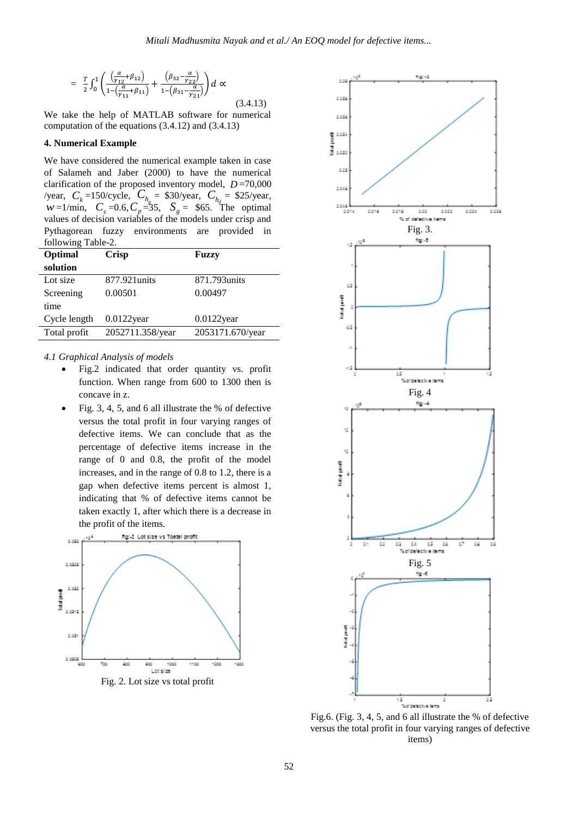$$
= \frac{T}{2} \int_0^1 \left( \frac{\left( \frac{\alpha}{\gamma_{12}} + \beta_{12} \right)}{1 - \left( \frac{\alpha}{\gamma_{11}} + \beta_{11} \right)} + \frac{\left( \beta_{32} - \frac{\alpha}{\gamma_{22}} \right)}{1 - \left( \beta_{31} - \frac{\alpha}{\gamma_{21}} \right)} \right) d \propto
$$

 (3.4.13) We take the help of MATLAB software for numerical computation of the equations (3.4.12) and (3.4.13)

#### **4. Numerical Example**

We have considered the numerical example taken in case of Salameh and Jaber (2000) to have the numerical clarification of the proposed inventory model,  $D = 70,000$ /year,  $C_k = 150$ /cycle,  $C_{h_s} = $30$ /year,  $C_{h_d} = $25$ /year, *w*=1/min,  $C_s = 0.6$ ,  $C_p = 35$ ,  $S_g = 65$ . The optimal values of decision variables of the models under crisp and Pythagorean fuzzy environments are provided in following Table-2.

| Optimal      | <b>Crisp</b>     | <b>Fuzzy</b>     |  |
|--------------|------------------|------------------|--|
| solution     |                  |                  |  |
| Lot size     | 877.921units     | 871.793 units    |  |
| Screening    | 0.00501          | 0.00497          |  |
| time         |                  |                  |  |
| Cycle length | $0.0122$ year    | $0.0122$ year    |  |
| Total profit | 2052711.358/year | 2053171.670/year |  |

## *4.1 Graphical Analysis of models*

- Fig.2 indicated that order quantity vs. profit function. When range from 600 to 1300 then is concave in z.
- Fig. 3, 4, 5, and 6 all illustrate the % of defective versus the total profit in four varying ranges of defective items. We can conclude that as the percentage of defective items increase in the range of 0 and 0.8, the profit of the model increases, and in the range of 0.8 to 1.2, there is a gap when defective items percent is almost 1, indicating that % of defective items cannot be taken exactly 1, after which there is a decrease in the profit of the items.





Fig.6. (Fig. 3, 4, 5, and 6 all illustrate the % of defective versus the total profit in four varying ranges of defective items)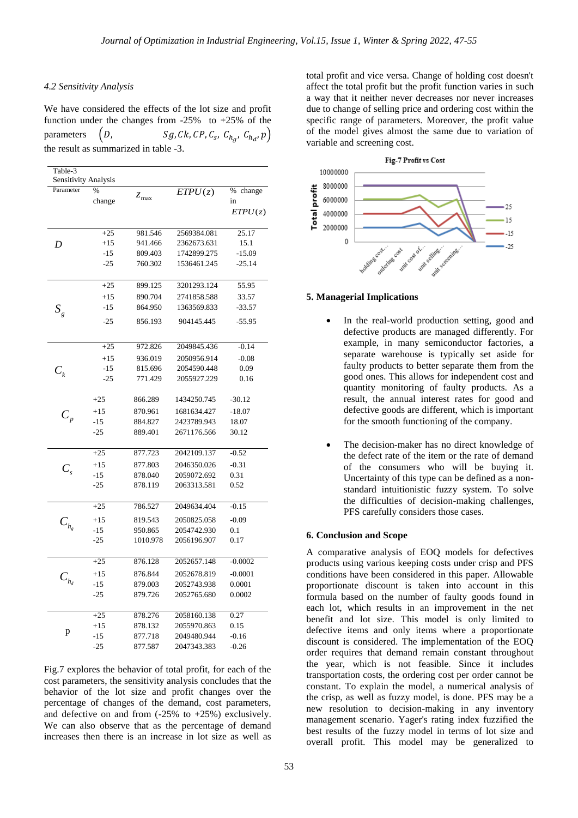#### *4.2 Sensitivity Analysis*

We have considered the effects of the lot size and profit function under the changes from  $-25\%$  to  $+25\%$  of the parameters  $(D,$ ,  $C_{h_a}$ ,  $C_{h_d}$ ,  $p$ ) the result as summarized in table -3.

| Table-3<br>Sensitivity Analysis |                |               |             |                                 |
|---------------------------------|----------------|---------------|-------------|---------------------------------|
| Parameter                       | $\%$<br>change | $z_{\rm max}$ | ETPU(z)     | $\%$<br>change<br>in<br>ETPU(z) |
| D                               | $+25$          | 981.546       | 2569384.081 | 25.17                           |
|                                 | $+15$          | 941.466       | 2362673.631 | 15.1                            |
|                                 | -15            | 809.403       | 1742899.275 | $-15.09$                        |
|                                 | $-25$          | 760.302       | 1536461.245 | -25.14                          |
| $S_{\it g}$                     | $+25$          | 899.125       | 3201293.124 | 55.95                           |
|                                 | $+15$          | 890.704       | 2741858.588 | 33.57                           |
|                                 | $-15$          | 864.950       | 1363569.833 | $-33.57$                        |
|                                 | $-25$          | 856.193       | 904145.445  | $-55.95$                        |
| $C_{\scriptscriptstyle k}$      | $+25$          | 972.826       | 2049845.436 | $-0.14$                         |
|                                 | $+15$          | 936.019       | 2050956.914 | $-0.08$                         |
|                                 | $-15$          | 815.696       | 2054590.448 | 0.09                            |
|                                 | $-25$          | 771.429       | 2055927.229 | 0.16                            |
|                                 | $+25$          | 866.289       | 1434250.745 | $-30.12$                        |
| $C_{_{p}}$                      | $+15$          | 870.961       | 1681634.427 | $-18.07$                        |
|                                 | $-15$          | 884.827       | 2423789.943 | 18.07                           |
|                                 | $-25$          | 889.401       | 2671176.566 | 30.12                           |
| $C_{\rm c}$                     | $+25$          | 877.723       | 2042109.137 | $-0.52$                         |
|                                 | $+15$          | 877.803       | 2046350.026 | $-0.31$                         |
|                                 | $-15$          | 878.040       | 2059072.692 | 0.31                            |
|                                 | $-25$          | 878.119       | 2063313.581 | 0.52                            |
| $C_{h_{g}}$                     | $+25$          | 786.527       | 2049634.404 | $-0.15$                         |
|                                 | $+15$          | 819.543       | 2050825.058 | $-0.09$                         |
|                                 | -15            | 950.865       | 2054742.930 | 0.1                             |
|                                 | $-25$          | 1010.978      | 2056196.907 | 0.17                            |
| $C_{h_d}$                       | $+25$          | 876.128       | 2052657.148 | $-0.0002$                       |
|                                 | $+15$          | 876.844       | 2052678.819 | $-0.0001$                       |
|                                 | $-15$          | 879.003       | 2052743.938 | 0.0001                          |
|                                 | $-25$          | 879.726       | 2052765.680 | 0.0002                          |
| p                               | $+25$          | 878.276       | 2058160.138 | 0.27                            |
|                                 | $+15$          | 878.132       | 2055970.863 | 0.15                            |
|                                 | $-15$          | 877.718       | 2049480.944 | $-0.16$                         |
|                                 | $-25$          | 877.587       | 2047343.383 | $-0.26$                         |

Fig.7 explores the behavior of total profit, for each of the cost parameters, the sensitivity analysis concludes that the behavior of the lot size and profit changes over the percentage of changes of the demand, cost parameters, and defective on and from  $(-25\% \text{ to } +25\%)$  exclusively. We can also observe that as the percentage of demand increases then there is an increase in lot size as well as

total profit and vice versa. Change of holding cost doesn't affect the total profit but the profit function varies in such a way that it neither never decreases nor never increases due to change of selling price and ordering cost within the specific range of parameters. Moreover, the profit value of the model gives almost the same due to variation of variable and screening cost.



#### **5. Managerial Implications**

- In the real-world production setting, good and defective products are managed differently. For example, in many semiconductor factories, a separate warehouse is typically set aside for faulty products to better separate them from the good ones. This allows for independent cost and quantity monitoring of faulty products. As a result, the annual interest rates for good and defective goods are different, which is important for the smooth functioning of the company.
- The decision-maker has no direct knowledge of the defect rate of the item or the rate of demand of the consumers who will be buying it. Uncertainty of this type can be defined as a nonstandard intuitionistic fuzzy system. To solve the difficulties of decision-making challenges, PFS carefully considers those cases.

#### **6. Conclusion and Scope**

A comparative analysis of EOQ models for defectives products using various keeping costs under crisp and PFS conditions have been considered in this paper. Allowable proportionate discount is taken into account in this formula based on the number of faulty goods found in each lot, which results in an improvement in the net benefit and lot size. This model is only limited to defective items and only items where a proportionate discount is considered. The implementation of the EOQ order requires that demand remain constant throughout the year, which is not feasible. Since it includes transportation costs, the ordering cost per order cannot be constant. To explain the model, a numerical analysis of the crisp, as well as fuzzy model, is done. PFS may be a new resolution to decision-making in any inventory management scenario. Yager's rating index fuzzified the best results of the fuzzy model in terms of lot size and overall profit. This model may be generalized to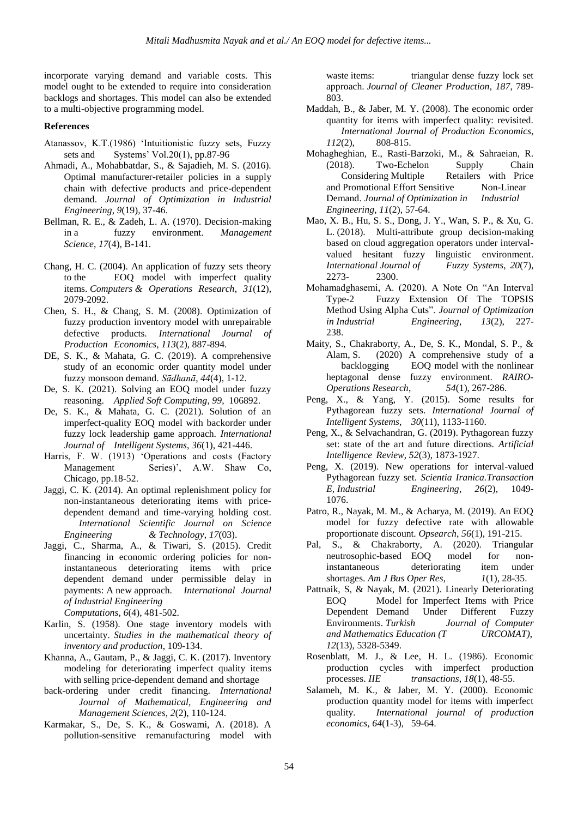incorporate varying demand and variable costs. This model ought to be extended to require into consideration backlogs and shortages. This model can also be extended to a multi-objective programming model.

# **References**

- Atanassov, K.T.(1986) "Intuitionistic fuzzy sets, Fuzzy sets and Systems' Vol.20(1), pp.87-96
- Ahmadi, A., Mohabbatdar, S., & Sajadieh, M. S. (2016). Optimal manufacturer-retailer policies in a supply chain with defective products and price-dependent demand. *Journal of Optimization in Industrial Engineering*, *9*(19), 37-46.
- Bellman, R. E., & Zadeh, L. A. (1970). Decision-making in a fuzzy environment. *Management Science*, *17*(4), B-141.
- Chang, H. C. (2004). An application of fuzzy sets theory to the EOQ model with imperfect quality items. *Computers & Operations Research*, *31*(12), 2079-2092.
- Chen, S. H., & Chang, S. M. (2008). Optimization of fuzzy production inventory model with unrepairable defective products. *International Journal of Production Economics*, *113*(2), 887-894.
- DE, S. K., & Mahata, G. C. (2019). A comprehensive study of an economic order quantity model under fuzzy monsoon demand. *Sādhanā*, *44*(4), 1-12.
- De, S. K. (2021). Solving an EOQ model under fuzzy reasoning. *Applied Soft Computing*, *99*, 106892.
- De, S. K., & Mahata, G. C. (2021). Solution of an imperfect-quality EOQ model with backorder under fuzzy lock leadership game approach. *International Journal of Intelligent Systems*, *36*(1), 421-446.
- Harris, F. W. (1913) "Operations and costs (Factory Management Series)', A.W. Shaw Co, Chicago, pp.18-52.
- Jaggi, C. K. (2014). An optimal replenishment policy for non-instantaneous deteriorating items with pricedependent demand and time-varying holding cost. *International Scientific Journal on Science Engineering & Technology*, *17*(03).
- Jaggi, C., Sharma, A., & Tiwari, S. (2015). Credit financing in economic ordering policies for noninstantaneous deteriorating items with price dependent demand under permissible delay in payments: A new approach. *International Journal of Industrial Engineering Computations*, *6*(4), 481-502.
- Karlin, S. (1958). One stage inventory models with uncertainty. *Studies in the mathematical theory of inventory and production*, 109-134.
- Khanna, A., Gautam, P., & Jaggi, C. K. (2017). Inventory modeling for deteriorating imperfect quality items with selling price-dependent demand and shortage
- back-ordering under credit financing. *International Journal of Mathematical, Engineering and Management Sciences*, *2*(2), 110-124.
- Karmakar, S., De, S. K., & Goswami, A. (2018). A pollution-sensitive remanufacturing model with

waste items: triangular dense fuzzy lock set approach. *Journal of Cleaner Production*, *187*, 789- 803.

- Maddah, B., & Jaber, M. Y. (2008). The economic order quantity for items with imperfect quality: revisited. *International Journal of Production Economics*, *112*(2), 808-815.
- Mohagheghian, E., Rasti-Barzoki, M., & Sahraeian, R. 18). Two-Echelon Supply Chain<br>Considering Multiple Retailers with Price Retailers with Price<br>ve Non-Linear and Promotional Effort Sensitive Demand. *Journal of Optimization in Industrial Engineering*, *11*(2), 57-64.
- Mao, X. B., Hu, S. S., Dong, J. Y., Wan, S. P., & Xu, G. L. (2018). Multi-attribute group decision-making based on cloud aggregation operators under intervalvalued hesitant fuzzy linguistic environment. *International Journal of Fuzzy Systems*, *20*(7), 2273-
- Mohamadghasemi, A. (2020). A Note On "An Interval Type-2 Fuzzy Extension Of The TOPSIS Method Using Alpha Cuts". *Journal of Optimization in Industrial Engineering*, *13*(2), 227- 238.
- Maity, S., Chakraborty, A., De, S. K., Mondal, S. P., & Alam, S. (2020) A comprehensive study of a backlogging EOQ model with the nonlinear heptagonal dense fuzzy environment. *RAIRO-Operations Research*, *54*(1), 267-286.
- Peng, X., & Yang, Y. (2015). Some results for Pythagorean fuzzy sets. *International Journal of Intelligent Systems*, *30*(11), 1133-1160.
- Peng, X., & Selvachandran, G. (2019). Pythagorean fuzzy set: state of the art and future directions. *Artificial Intelligence Review*, *52*(3), 1873-1927.
- Peng, X. (2019). New operations for interval-valued Pythagorean fuzzy set. *Scientia Iranica.Transaction Engineering*, 26(2), 1049-1076.
- Patro, R., Nayak, M. M., & Acharya, M. (2019). An EOQ model for fuzzy defective rate with allowable proportionate discount. *Opsearch*, *56*(1), 191-215.
- Pal, S., & Chakraborty, A. (2020). Triangular neutrosophic-based EOQ model for noninstantaneous deteriorating item under shortages. *Am J Bus Oper Res*, *1*(1), 28-35.
- Pattnaik, S, & Nayak, M. (2021). Linearly Deteriorating EOQ Model for Imperfect Items with Price Dependent Demand Under Different Fuzzy Environments. *Turkish Journal of Computer and Mathematics Education (T URCOMAT)*, *12*(13), 5328-5349.
- Rosenblatt, M. J., & Lee, H. L. (1986). Economic production cycles with imperfect production processes. *IIE transactions*, *18*(1), 48-55.
- Salameh, M. K., & Jaber, M. Y. (2000). Economic production quantity model for items with imperfect quality. *International journal of production economics*, *64*(1-3), 59-64.